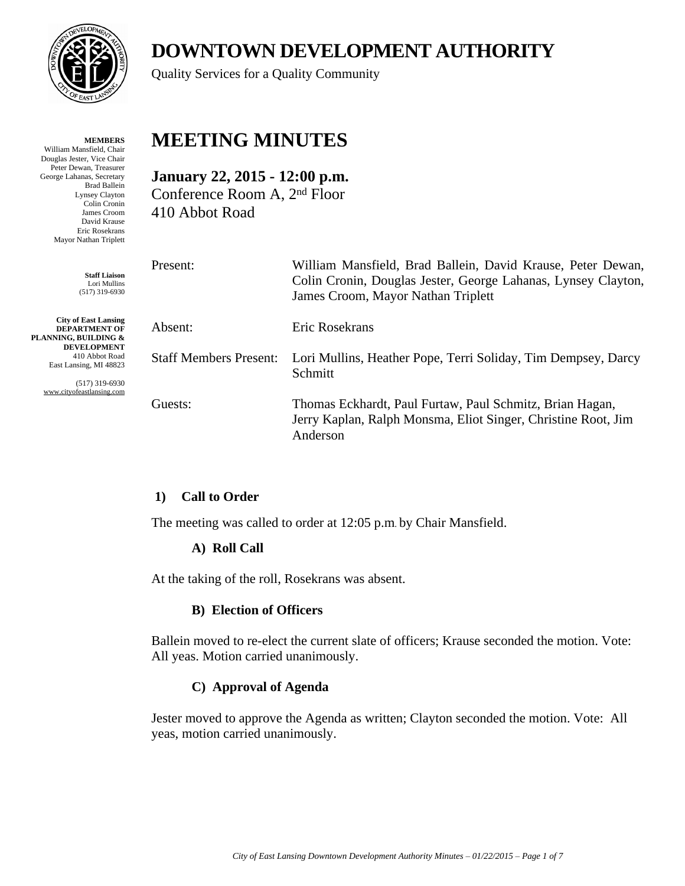

**MEMBERS** William Mansfield, Chair Douglas Jester, Vice Chair Peter Dewan, Treasurer George Lahanas, Secretary Brad Ballein Lynsey Clayton Colin Cronin James Croom David Krause Eric Rosekrans Mayor Nathan Triplett

> **Staff Liaison** Lori Mullins (517) 319-6930

**City of East Lansing DEPARTMENT OF PLANNING, BUILDING & DEVELOPMENT** 410 Abbot Road East Lansing, MI 48823

> (517) 319-6930 www.cityofeastlansing.com

# **DOWNTOWN DEVELOPMENT AUTHORITY**

Quality Services for a Quality Community

## **MEETING MINUTES**

**January 22, 2015 - 12:00 p.m.** Conference Room A, 2nd Floor 410 Abbot Road

| Present:                      | William Mansfield, Brad Ballein, David Krause, Peter Dewan,<br>Colin Cronin, Douglas Jester, George Lahanas, Lynsey Clayton,<br>James Croom, Mayor Nathan Triplett |
|-------------------------------|--------------------------------------------------------------------------------------------------------------------------------------------------------------------|
| Absent:                       | Eric Rosekrans                                                                                                                                                     |
| <b>Staff Members Present:</b> | Lori Mullins, Heather Pope, Terri Soliday, Tim Dempsey, Darcy<br>Schmitt                                                                                           |
| Guests:                       | Thomas Eckhardt, Paul Furtaw, Paul Schmitz, Brian Hagan,<br>Jerry Kaplan, Ralph Monsma, Eliot Singer, Christine Root, Jim<br>Anderson                              |

## **1) Call to Order**

The meeting was called to order at 12:05 p.m. by Chair Mansfield.

## **A) Roll Call**

At the taking of the roll, Rosekrans was absent.

#### **B) Election of Officers**

Ballein moved to re-elect the current slate of officers; Krause seconded the motion. Vote: All yeas. Motion carried unanimously.

## **C) Approval of Agenda**

Jester moved to approve the Agenda as written; Clayton seconded the motion. Vote: All yeas, motion carried unanimously.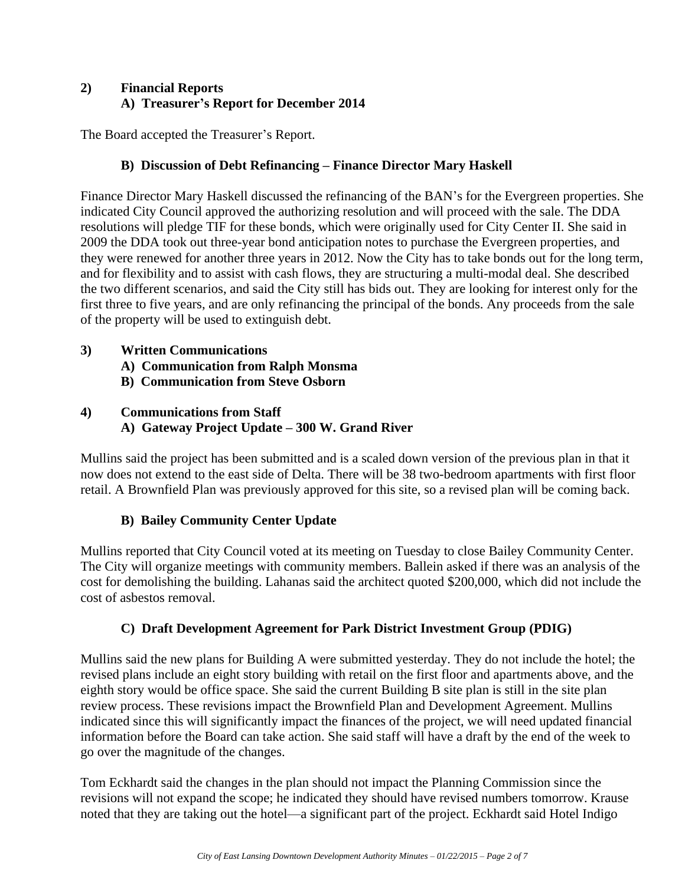## **2) Financial Reports A) Treasurer's Report for December 2014**

The Board accepted the Treasurer's Report.

## **B) Discussion of Debt Refinancing – Finance Director Mary Haskell**

Finance Director Mary Haskell discussed the refinancing of the BAN's for the Evergreen properties. She indicated City Council approved the authorizing resolution and will proceed with the sale. The DDA resolutions will pledge TIF for these bonds, which were originally used for City Center II. She said in 2009 the DDA took out three-year bond anticipation notes to purchase the Evergreen properties, and they were renewed for another three years in 2012. Now the City has to take bonds out for the long term, and for flexibility and to assist with cash flows, they are structuring a multi-modal deal. She described the two different scenarios, and said the City still has bids out. They are looking for interest only for the first three to five years, and are only refinancing the principal of the bonds. Any proceeds from the sale of the property will be used to extinguish debt.

## **3) Written Communications**

- **A) Communication from Ralph Monsma**
- **B) Communication from Steve Osborn**

## **4) Communications from Staff A) Gateway Project Update – 300 W. Grand River**

Mullins said the project has been submitted and is a scaled down version of the previous plan in that it now does not extend to the east side of Delta. There will be 38 two-bedroom apartments with first floor retail. A Brownfield Plan was previously approved for this site, so a revised plan will be coming back.

## **B) Bailey Community Center Update**

Mullins reported that City Council voted at its meeting on Tuesday to close Bailey Community Center. The City will organize meetings with community members. Ballein asked if there was an analysis of the cost for demolishing the building. Lahanas said the architect quoted \$200,000, which did not include the cost of asbestos removal.

#### **C) Draft Development Agreement for Park District Investment Group (PDIG)**

Mullins said the new plans for Building A were submitted yesterday. They do not include the hotel; the revised plans include an eight story building with retail on the first floor and apartments above, and the eighth story would be office space. She said the current Building B site plan is still in the site plan review process. These revisions impact the Brownfield Plan and Development Agreement. Mullins indicated since this will significantly impact the finances of the project, we will need updated financial information before the Board can take action. She said staff will have a draft by the end of the week to go over the magnitude of the changes.

Tom Eckhardt said the changes in the plan should not impact the Planning Commission since the revisions will not expand the scope; he indicated they should have revised numbers tomorrow. Krause noted that they are taking out the hotel—a significant part of the project. Eckhardt said Hotel Indigo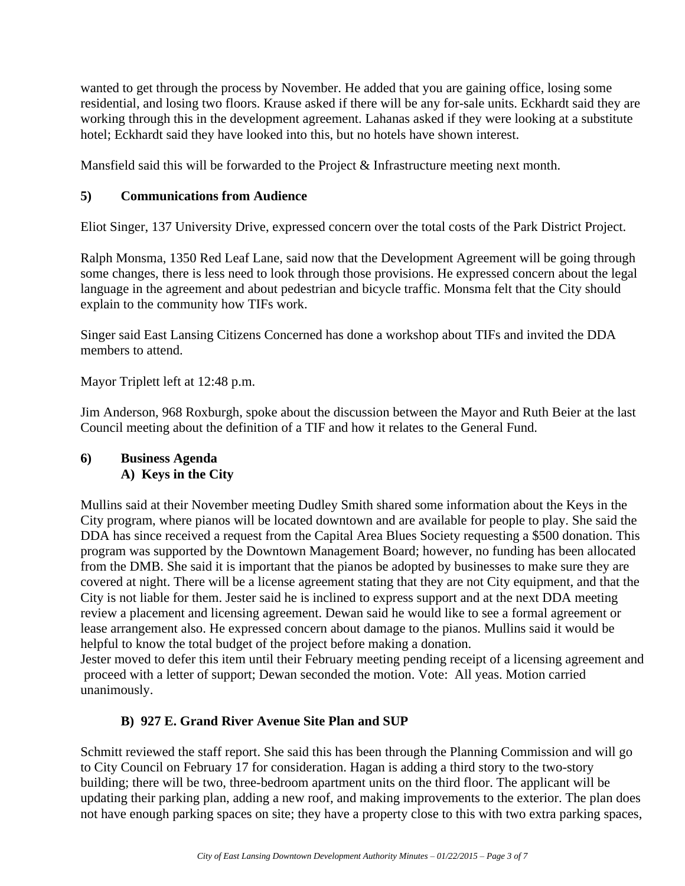wanted to get through the process by November. He added that you are gaining office, losing some residential, and losing two floors. Krause asked if there will be any for-sale units. Eckhardt said they are working through this in the development agreement. Lahanas asked if they were looking at a substitute hotel; Eckhardt said they have looked into this, but no hotels have shown interest.

Mansfield said this will be forwarded to the Project & Infrastructure meeting next month.

## **5) Communications from Audience**

Eliot Singer, 137 University Drive, expressed concern over the total costs of the Park District Project.

Ralph Monsma, 1350 Red Leaf Lane, said now that the Development Agreement will be going through some changes, there is less need to look through those provisions. He expressed concern about the legal language in the agreement and about pedestrian and bicycle traffic. Monsma felt that the City should explain to the community how TIFs work.

Singer said East Lansing Citizens Concerned has done a workshop about TIFs and invited the DDA members to attend.

Mayor Triplett left at 12:48 p.m.

Jim Anderson, 968 Roxburgh, spoke about the discussion between the Mayor and Ruth Beier at the last Council meeting about the definition of a TIF and how it relates to the General Fund.

#### **6) Business Agenda A) Keys in the City**

Mullins said at their November meeting Dudley Smith shared some information about the Keys in the City program, where pianos will be located downtown and are available for people to play. She said the DDA has since received a request from the Capital Area Blues Society requesting a \$500 donation. This program was supported by the Downtown Management Board; however, no funding has been allocated from the DMB. She said it is important that the pianos be adopted by businesses to make sure they are covered at night. There will be a license agreement stating that they are not City equipment, and that the City is not liable for them. Jester said he is inclined to express support and at the next DDA meeting review a placement and licensing agreement. Dewan said he would like to see a formal agreement or lease arrangement also. He expressed concern about damage to the pianos. Mullins said it would be helpful to know the total budget of the project before making a donation.

Jester moved to defer this item until their February meeting pending receipt of a licensing agreement and proceed with a letter of support; Dewan seconded the motion. Vote: All yeas. Motion carried unanimously.

#### **B) 927 E. Grand River Avenue Site Plan and SUP**

Schmitt reviewed the staff report. She said this has been through the Planning Commission and will go to City Council on February 17 for consideration. Hagan is adding a third story to the two-story building; there will be two, three-bedroom apartment units on the third floor. The applicant will be updating their parking plan, adding a new roof, and making improvements to the exterior. The plan does not have enough parking spaces on site; they have a property close to this with two extra parking spaces,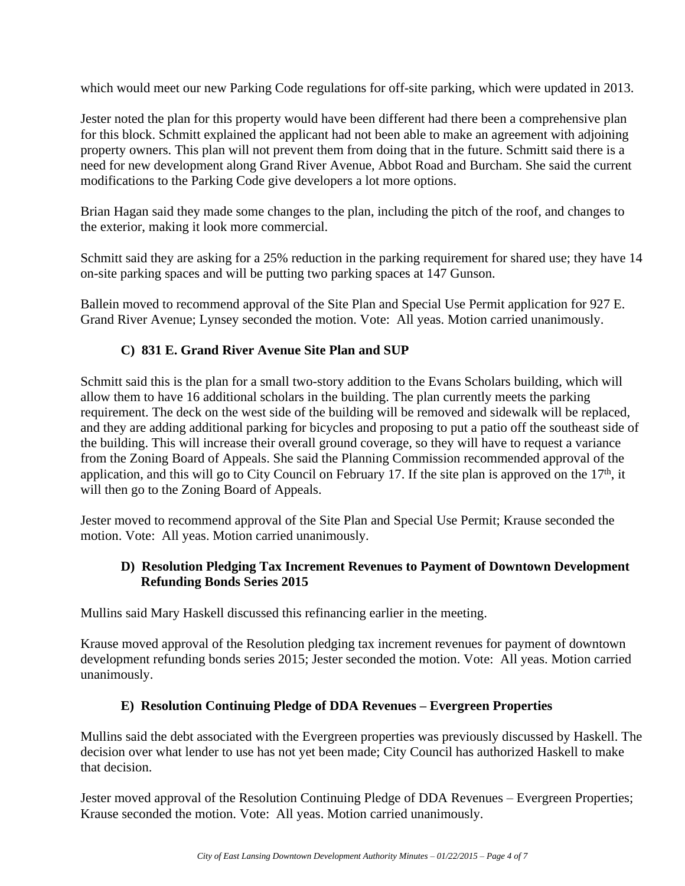which would meet our new Parking Code regulations for off-site parking, which were updated in 2013.

Jester noted the plan for this property would have been different had there been a comprehensive plan for this block. Schmitt explained the applicant had not been able to make an agreement with adjoining property owners. This plan will not prevent them from doing that in the future. Schmitt said there is a need for new development along Grand River Avenue, Abbot Road and Burcham. She said the current modifications to the Parking Code give developers a lot more options.

Brian Hagan said they made some changes to the plan, including the pitch of the roof, and changes to the exterior, making it look more commercial.

Schmitt said they are asking for a 25% reduction in the parking requirement for shared use; they have 14 on-site parking spaces and will be putting two parking spaces at 147 Gunson.

Ballein moved to recommend approval of the Site Plan and Special Use Permit application for 927 E. Grand River Avenue; Lynsey seconded the motion. Vote: All yeas. Motion carried unanimously.

## **C) 831 E. Grand River Avenue Site Plan and SUP**

Schmitt said this is the plan for a small two-story addition to the Evans Scholars building, which will allow them to have 16 additional scholars in the building. The plan currently meets the parking requirement. The deck on the west side of the building will be removed and sidewalk will be replaced, and they are adding additional parking for bicycles and proposing to put a patio off the southeast side of the building. This will increase their overall ground coverage, so they will have to request a variance from the Zoning Board of Appeals. She said the Planning Commission recommended approval of the application, and this will go to City Council on February 17. If the site plan is approved on the 17<sup>th</sup>, it will then go to the Zoning Board of Appeals.

Jester moved to recommend approval of the Site Plan and Special Use Permit; Krause seconded the motion. Vote: All yeas. Motion carried unanimously.

#### **D) Resolution Pledging Tax Increment Revenues to Payment of Downtown Development Refunding Bonds Series 2015**

Mullins said Mary Haskell discussed this refinancing earlier in the meeting.

Krause moved approval of the Resolution pledging tax increment revenues for payment of downtown development refunding bonds series 2015; Jester seconded the motion. Vote: All yeas. Motion carried unanimously.

#### **E) Resolution Continuing Pledge of DDA Revenues – Evergreen Properties**

Mullins said the debt associated with the Evergreen properties was previously discussed by Haskell. The decision over what lender to use has not yet been made; City Council has authorized Haskell to make that decision.

Jester moved approval of the Resolution Continuing Pledge of DDA Revenues – Evergreen Properties; Krause seconded the motion. Vote: All yeas. Motion carried unanimously.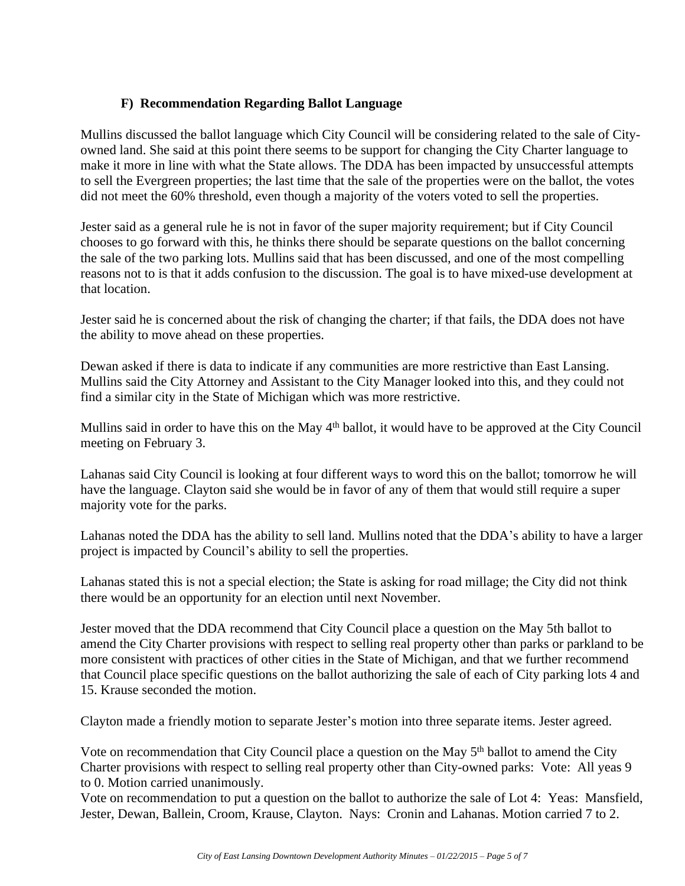## **F) Recommendation Regarding Ballot Language**

Mullins discussed the ballot language which City Council will be considering related to the sale of Cityowned land. She said at this point there seems to be support for changing the City Charter language to make it more in line with what the State allows. The DDA has been impacted by unsuccessful attempts to sell the Evergreen properties; the last time that the sale of the properties were on the ballot, the votes did not meet the 60% threshold, even though a majority of the voters voted to sell the properties.

Jester said as a general rule he is not in favor of the super majority requirement; but if City Council chooses to go forward with this, he thinks there should be separate questions on the ballot concerning the sale of the two parking lots. Mullins said that has been discussed, and one of the most compelling reasons not to is that it adds confusion to the discussion. The goal is to have mixed-use development at that location.

Jester said he is concerned about the risk of changing the charter; if that fails, the DDA does not have the ability to move ahead on these properties.

Dewan asked if there is data to indicate if any communities are more restrictive than East Lansing. Mullins said the City Attorney and Assistant to the City Manager looked into this, and they could not find a similar city in the State of Michigan which was more restrictive.

Mullins said in order to have this on the May 4<sup>th</sup> ballot, it would have to be approved at the City Council meeting on February 3.

Lahanas said City Council is looking at four different ways to word this on the ballot; tomorrow he will have the language. Clayton said she would be in favor of any of them that would still require a super majority vote for the parks.

Lahanas noted the DDA has the ability to sell land. Mullins noted that the DDA's ability to have a larger project is impacted by Council's ability to sell the properties.

Lahanas stated this is not a special election; the State is asking for road millage; the City did not think there would be an opportunity for an election until next November.

Jester moved that the DDA recommend that City Council place a question on the May 5th ballot to amend the City Charter provisions with respect to selling real property other than parks or parkland to be more consistent with practices of other cities in the State of Michigan, and that we further recommend that Council place specific questions on the ballot authorizing the sale of each of City parking lots 4 and 15. Krause seconded the motion.

Clayton made a friendly motion to separate Jester's motion into three separate items. Jester agreed.

Vote on recommendation that City Council place a question on the May 5<sup>th</sup> ballot to amend the City Charter provisions with respect to selling real property other than City-owned parks: Vote: All yeas 9 to 0. Motion carried unanimously.

Vote on recommendation to put a question on the ballot to authorize the sale of Lot 4: Yeas: Mansfield, Jester, Dewan, Ballein, Croom, Krause, Clayton. Nays: Cronin and Lahanas. Motion carried 7 to 2.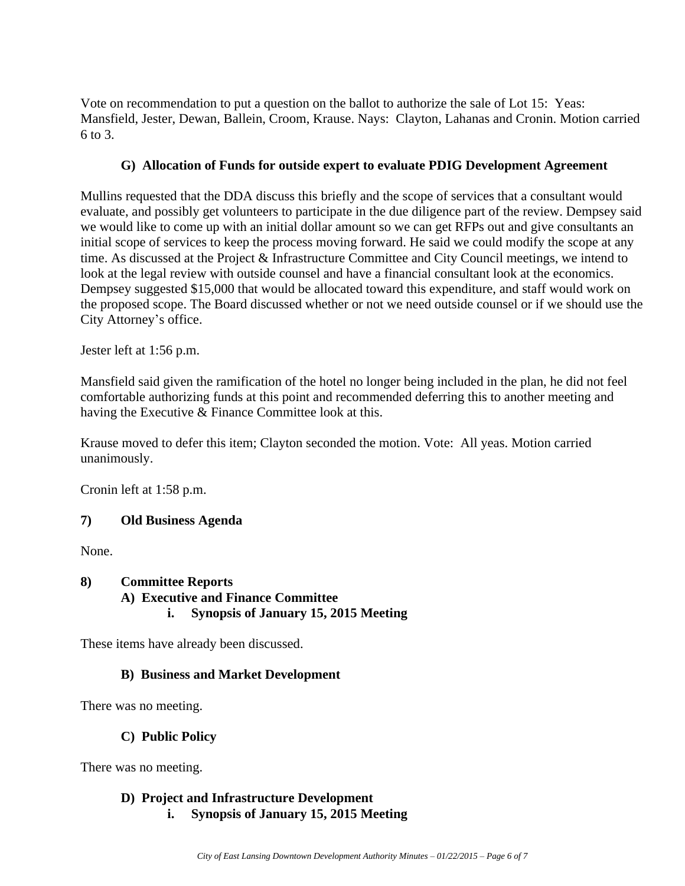Vote on recommendation to put a question on the ballot to authorize the sale of Lot 15: Yeas: Mansfield, Jester, Dewan, Ballein, Croom, Krause. Nays: Clayton, Lahanas and Cronin. Motion carried  $6$  to  $3<sub>1</sub>$ 

#### **G) Allocation of Funds for outside expert to evaluate PDIG Development Agreement**

Mullins requested that the DDA discuss this briefly and the scope of services that a consultant would evaluate, and possibly get volunteers to participate in the due diligence part of the review. Dempsey said we would like to come up with an initial dollar amount so we can get RFPs out and give consultants an initial scope of services to keep the process moving forward. He said we could modify the scope at any time. As discussed at the Project & Infrastructure Committee and City Council meetings, we intend to look at the legal review with outside counsel and have a financial consultant look at the economics. Dempsey suggested \$15,000 that would be allocated toward this expenditure, and staff would work on the proposed scope. The Board discussed whether or not we need outside counsel or if we should use the City Attorney's office.

Jester left at 1:56 p.m.

Mansfield said given the ramification of the hotel no longer being included in the plan, he did not feel comfortable authorizing funds at this point and recommended deferring this to another meeting and having the Executive & Finance Committee look at this.

Krause moved to defer this item; Clayton seconded the motion. Vote: All yeas. Motion carried unanimously.

Cronin left at 1:58 p.m.

#### **7) Old Business Agenda**

None.

#### **8) Committee Reports A) Executive and Finance Committee i. Synopsis of January 15, 2015 Meeting**

These items have already been discussed.

#### **B) Business and Market Development**

There was no meeting.

#### **C) Public Policy**

There was no meeting.

## **D) Project and Infrastructure Development**

**i. Synopsis of January 15, 2015 Meeting**